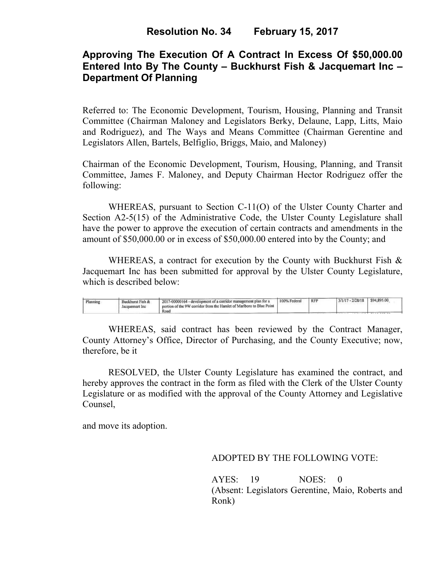# **Approving The Execution Of A Contract In Excess Of \$50,000.00 Entered Into By The County – Buckhurst Fish & Jacquemart Inc – Department Of Planning**

Referred to: The Economic Development, Tourism, Housing, Planning and Transit Committee (Chairman Maloney and Legislators Berky, Delaune, Lapp, Litts, Maio and Rodriguez), and The Ways and Means Committee (Chairman Gerentine and Legislators Allen, Bartels, Belfiglio, Briggs, Maio, and Maloney)

Chairman of the Economic Development, Tourism, Housing, Planning, and Transit Committee, James F. Maloney, and Deputy Chairman Hector Rodriguez offer the following:

WHEREAS, pursuant to Section C-11(O) of the Ulster County Charter and Section A2-5(15) of the Administrative Code, the Ulster County Legislature shall have the power to approve the execution of certain contracts and amendments in the amount of \$50,000.00 or in excess of \$50,000.00 entered into by the County; and

WHEREAS, a contract for execution by the County with Buckhurst Fish & Jacquemart Inc has been submitted for approval by the Ulster County Legislature, which is described below:

| Planning | Buckhurst Fish &<br>lacquemart inc | 2017-00000164 - development of a corridor management plan for a<br>portion of the 9W corridor from the Hamlet of Marlboro to Blue Point<br>Roa | 100% Federal | <b>RFP</b> | $3/1/17 - 2/28/18$ | \$94,895.00 |  |
|----------|------------------------------------|------------------------------------------------------------------------------------------------------------------------------------------------|--------------|------------|--------------------|-------------|--|
|----------|------------------------------------|------------------------------------------------------------------------------------------------------------------------------------------------|--------------|------------|--------------------|-------------|--|

WHEREAS, said contract has been reviewed by the Contract Manager, County Attorney's Office, Director of Purchasing, and the County Executive; now, therefore, be it

RESOLVED, the Ulster County Legislature has examined the contract, and hereby approves the contract in the form as filed with the Clerk of the Ulster County Legislature or as modified with the approval of the County Attorney and Legislative Counsel,

and move its adoption.

#### ADOPTED BY THE FOLLOWING VOTE:

AYES: 19 NOES: 0 (Absent: Legislators Gerentine, Maio, Roberts and Ronk)